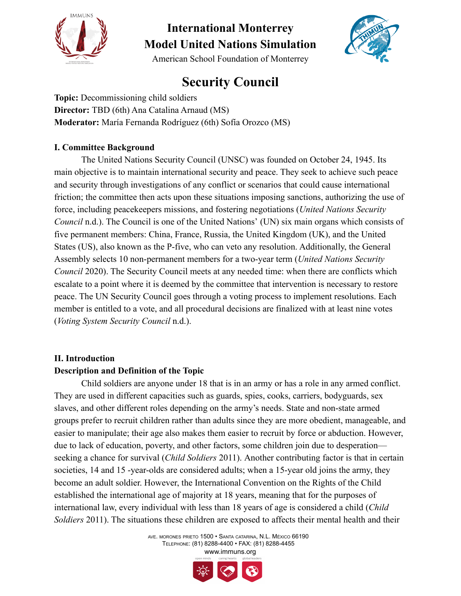



American School Foundation of Monterrey

## **Security Council**

**Topic:** Decommissioning child soldiers **Director:** TBD (6th) Ana Catalina Arnaud (MS) **Moderator:** María Fernanda Rodríguez (6th) Sofía Orozco (MS)

### **I. Committee Background**

The United Nations Security Council (UNSC) was founded on October 24, 1945. Its main objective is to maintain international security and peace. They seek to achieve such peace and security through investigations of any conflict or scenarios that could cause international friction; the committee then acts upon these situations imposing sanctions, authorizing the use of force, including peacekeepers missions, and fostering negotiations (*United Nations Security Council* n.d.). The Council is one of the United Nations' (UN) six main organs which consists of five permanent members: China, France, Russia, the United Kingdom (UK), and the United States (US), also known as the P-five, who can veto any resolution. Additionally, the General Assembly selects 10 non-permanent members for a two-year term (*United Nations Security Council* 2020). The Security Council meets at any needed time: when there are conflicts which escalate to a point where it is deemed by the committee that intervention is necessary to restore peace. The UN Security Council goes through a voting process to implement resolutions. Each member is entitled to a vote, and all procedural decisions are finalized with at least nine votes (*Voting System Security Council* n.d.).

## **II. Introduction**

### **Description and Definition of the Topic**

Child soldiers are anyone under 18 that is in an army or has a role in any armed conflict. They are used in different capacities such as guards, spies, cooks, carriers, bodyguards, sex slaves, and other different roles depending on the army's needs. State and non-state armed groups prefer to recruit children rather than adults since they are more obedient, manageable, and easier to manipulate; their age also makes them easier to recruit by force or abduction. However, due to lack of education, poverty, and other factors, some children join due to desperation seeking a chance for survival (*Child Soldiers* 2011). Another contributing factor is that in certain societies, 14 and 15 -year-olds are considered adults; when a 15-year old joins the army, they become an adult soldier. However, the International Convention on the Rights of the Child established the international age of majority at 18 years, meaning that for the purposes of international law, every individual with less than 18 years of age is considered a child (*Child Soldiers* 2011). The situations these children are exposed to affects their mental health and their

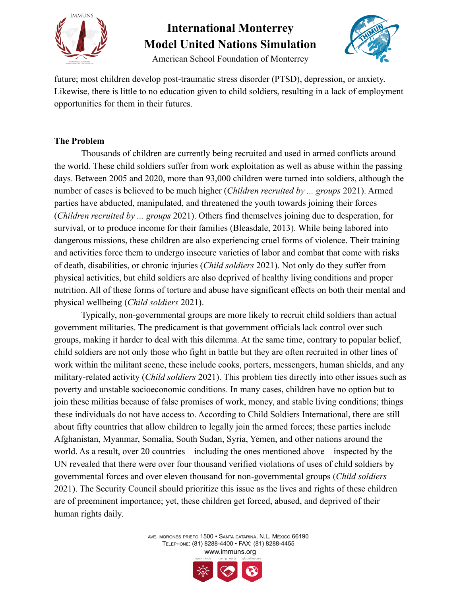



American School Foundation of Monterrey

future; most children develop post-traumatic stress disorder (PTSD), depression, or anxiety. Likewise, there is little to no education given to child soldiers, resulting in a lack of employment opportunities for them in their futures.

### **The Problem**

Thousands of children are currently being recruited and used in armed conflicts around the world. These child soldiers suffer from work exploitation as well as abuse within the passing days. Between 2005 and 2020, more than 93,000 children were turned into soldiers, although the number of cases is believed to be much higher (*Children recruited by ... groups* 2021). Armed parties have abducted, manipulated, and threatened the youth towards joining their forces (*Children recruited by ... groups* 2021). Others find themselves joining due to desperation, for survival, or to produce income for their families (Bleasdale, 2013). While being labored into dangerous missions, these children are also experiencing cruel forms of violence. Their training and activities force them to undergo insecure varieties of labor and combat that come with risks of death, disabilities, or chronic injuries (*Child soldiers* 2021). Not only do they suffer from physical activities, but child soldiers are also deprived of healthy living conditions and proper nutrition. All of these forms of torture and abuse have significant effects on both their mental and physical wellbeing (*Child soldiers* 2021).

Typically, non-governmental groups are more likely to recruit child soldiers than actual government militaries. The predicament is that government officials lack control over such groups, making it harder to deal with this dilemma. At the same time, contrary to popular belief, child soldiers are not only those who fight in battle but they are often recruited in other lines of work within the militant scene, these include cooks, porters, messengers, human shields, and any military-related activity (*Child soldiers* 2021). This problem ties directly into other issues such as poverty and unstable socioeconomic conditions. In many cases, children have no option but to join these militias because of false promises of work, money, and stable living conditions; things these individuals do not have access to. According to Child Soldiers International, there are still about fifty countries that allow children to legally join the armed forces; these parties include Afghanistan, Myanmar, Somalia, South Sudan, Syria, Yemen, and other nations around the world. As a result, over 20 countries—including the ones mentioned above—inspected by the UN revealed that there were over four thousand verified violations of uses of child soldiers by governmental forces and over eleven thousand for non-governmental groups (*Child soldiers* 2021). The Security Council should prioritize this issue as the lives and rights of these children are of preeminent importance; yet, these children get forced, abused, and deprived of their human rights daily.

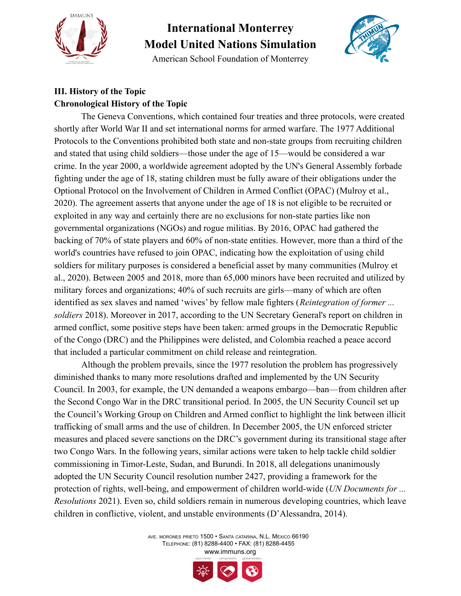

American School Foundation of Monterrey



## **III. History of the Topic Chronological History of the Topic**

The Geneva Conventions, which contained four treaties and three protocols, were created shortly after World War II and set international norms for armed warfare. The 1977 Additional Protocols to the Conventions prohibited both state and non-state groups from recruiting children and stated that using child soldiers—those under the age of 15—would be considered a war crime. In the year 2000, a worldwide agreement adopted by the UN's General Assembly forbade fighting under the age of 18, stating children must be fully aware of their obligations under the Optional Protocol on the Involvement of Children in Armed Conflict (OPAC) (Mulroy et al., 2020). The agreement asserts that anyone under the age of 18 is not eligible to be recruited or exploited in any way and certainly there are no exclusions for non-state parties like non governmental organizations (NGOs) and rogue militias. By 2016, OPAC had gathered the backing of 70% of state players and 60% of non-state entities. However, more than a third of the world's countries have refused to join OPAC, indicating how the exploitation of using child soldiers for military purposes is considered a beneficial asset by many communities (Mulroy et al., 2020). Between 2005 and 2018, more than 65,000 minors have been recruited and utilized by military forces and organizations; 40% of such recruits are girls—many of which are often identified as sex slaves and named 'wives' by fellow male fighters (*Reintegration of former ... soldiers* 2018). Moreover in 2017, according to the UN Secretary General's report on children in armed conflict, some positive steps have been taken: armed groups in the Democratic Republic of the Congo (DRC) and the Philippines were delisted, and Colombia reached a peace accord that included a particular commitment on child release and reintegration.

Although the problem prevails, since the 1977 resolution the problem has progressively diminished thanks to many more resolutions drafted and implemented by the UN Security Council. In 2003, for example, the UN demanded a weapons embargo—ban—from children after the Second Congo War in the DRC transitional period. In 2005, the UN Security Council set up the Council's Working Group on Children and Armed conflict to highlight the link between illicit trafficking of small arms and the use of children. In December 2005, the UN enforced stricter measures and placed severe sanctions on the DRC's government during its transitional stage after two Congo Wars. In the following years, similar actions were taken to help tackle child soldier commissioning in Timor-Leste, Sudan, and Burundi. In 2018, all delegations unanimously adopted the UN Security Council resolution number 2427, providing a framework for the protection of rights, well-being, and empowerment of children world-wide (*UN Documents for ... Resolutions* 2021). Even so, child soldiers remain in numerous developing countries, which leave children in conflictive, violent, and unstable environments (D'Alessandra, 2014).

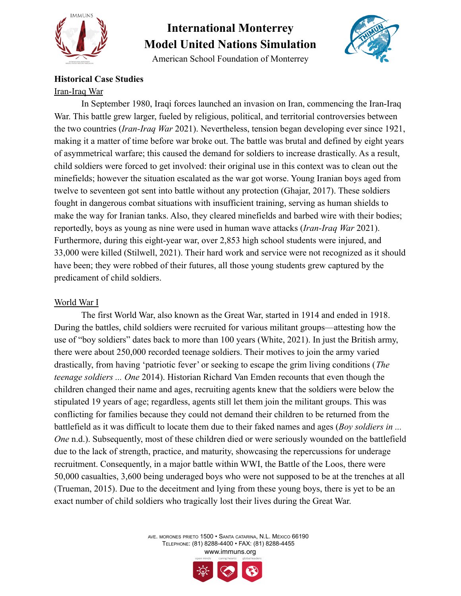

American School Foundation of Monterrey



## **Historical Case Studies**

#### Iran-Iraq War

In September 1980, Iraqi forces launched an invasion on Iran, commencing the Iran-Iraq War. This battle grew larger, fueled by religious, political, and territorial controversies between the two countries (*Iran-Iraq War* 2021). Nevertheless, tension began developing ever since 1921, making it a matter of time before war broke out. The battle was brutal and defined by eight years of asymmetrical warfare; this caused the demand for soldiers to increase drastically. As a result, child soldiers were forced to get involved: their original use in this context was to clean out the minefields; however the situation escalated as the war got worse. Young Iranian boys aged from twelve to seventeen got sent into battle without any protection (Ghajar, 2017). These soldiers fought in dangerous combat situations with insufficient training, serving as human shields to make the way for Iranian tanks. Also, they cleared minefields and barbed wire with their bodies; reportedly, boys as young as nine were used in human wave attacks (*Iran-Iraq War* 2021). Furthermore, during this eight-year war, over 2,853 high school students were injured, and 33,000 were killed (Stilwell, 2021). Their hard work and service were not recognized as it should have been; they were robbed of their futures, all those young students grew captured by the predicament of child soldiers.

### World War I

The first World War, also known as the Great War, started in 1914 and ended in 1918. During the battles, child soldiers were recruited for various militant groups—attesting how the use of "boy soldiers" dates back to more than 100 years (White, 2021). In just the British army, there were about 250,000 recorded teenage soldiers. Their motives to join the army varied drastically, from having 'patriotic fever' or seeking to escape the grim living conditions (*The teenage soldiers ... One* 2014). Historian Richard Van Emden recounts that even though the children changed their name and ages, recruiting agents knew that the soldiers were below the stipulated 19 years of age; regardless, agents still let them join the militant groups. This was conflicting for families because they could not demand their children to be returned from the battlefield as it was difficult to locate them due to their faked names and ages (*Boy soldiers in ... One* n.d.). Subsequently, most of these children died or were seriously wounded on the battlefield due to the lack of strength, practice, and maturity, showcasing the repercussions for underage recruitment. Consequently, in a major battle within WWI, the Battle of the Loos, there were 50,000 casualties, 3,600 being underaged boys who were not supposed to be at the trenches at all (Trueman, 2015). Due to the deceitment and lying from these young boys, there is yet to be an exact number of child soldiers who tragically lost their lives during the Great War.

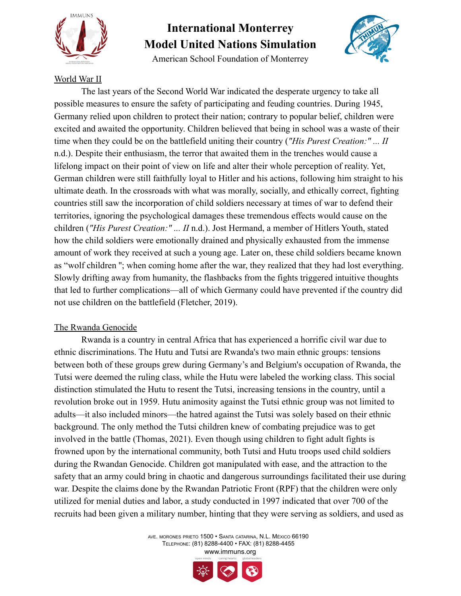

American School Foundation of Monterrey



### World War II

The last years of the Second World War indicated the desperate urgency to take all possible measures to ensure the safety of participating and feuding countries. During 1945, Germany relied upon children to protect their nation; contrary to popular belief, children were excited and awaited the opportunity. Children believed that being in school was a waste of their time when they could be on the battlefield uniting their country (*"His Purest Creation:" ... II* n.d.). Despite their enthusiasm, the terror that awaited them in the trenches would cause a lifelong impact on their point of view on life and alter their whole perception of reality. Yet, German children were still faithfully loyal to Hitler and his actions, following him straight to his ultimate death. In the crossroads with what was morally, socially, and ethically correct, fighting countries still saw the incorporation of child soldiers necessary at times of war to defend their territories, ignoring the psychological damages these tremendous effects would cause on the children (*"His Purest Creation:" ... II* n.d.). Jost Hermand, a member of Hitlers Youth, stated how the child soldiers were emotionally drained and physically exhausted from the immense amount of work they received at such a young age. Later on, these child soldiers became known as "wolf children ''; when coming home after the war, they realized that they had lost everything. Slowly drifting away from humanity, the flashbacks from the fights triggered intuitive thoughts that led to further complications—all of which Germany could have prevented if the country did not use children on the battlefield (Fletcher, 2019).

### The Rwanda Genocide

Rwanda is a country in central Africa that has experienced a horrific civil war due to ethnic discriminations. The Hutu and Tutsi are Rwanda's two main ethnic groups: tensions between both of these groups grew during Germany's and Belgium's occupation of Rwanda, the Tutsi were deemed the ruling class, while the Hutu were labeled the working class. This social distinction stimulated the Hutu to resent the Tutsi, increasing tensions in the country, until a revolution broke out in 1959. Hutu animosity against the Tutsi ethnic group was not limited to adults—it also included minors—the hatred against the Tutsi was solely based on their ethnic background. The only method the Tutsi children knew of combating prejudice was to get involved in the battle (Thomas, 2021). Even though using children to fight adult fights is frowned upon by the international community, both Tutsi and Hutu troops used child soldiers during the Rwandan Genocide. Children got manipulated with ease, and the attraction to the safety that an army could bring in chaotic and dangerous surroundings facilitated their use during war. Despite the claims done by the Rwandan Patriotic Front (RPF) that the children were only utilized for menial duties and labor, a study conducted in 1997 indicated that over 700 of the recruits had been given a military number, hinting that they were serving as soldiers, and used as

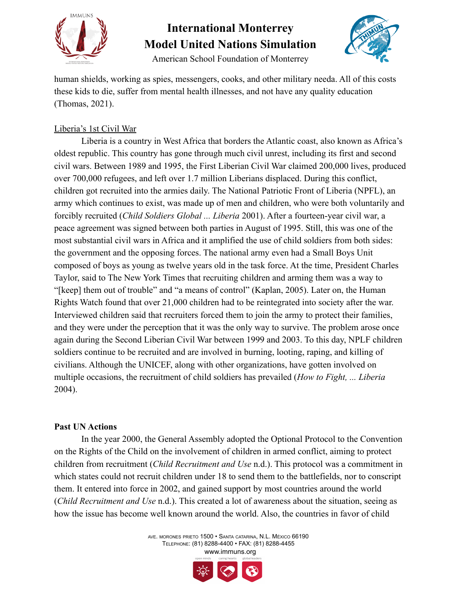



American School Foundation of Monterrey

human shields, working as spies, messengers, cooks, and other military needa. All of this costs these kids to die, suffer from mental health illnesses, and not have any quality education (Thomas, 2021).

### Liberia's 1st Civil War

Liberia is a country in West Africa that borders the Atlantic coast, also known as Africa's oldest republic. This country has gone through much civil unrest, including its first and second civil wars. Between 1989 and 1995, the First Liberian Civil War claimed 200,000 lives, produced over 700,000 refugees, and left over 1.7 million Liberians displaced. During this conflict, children got recruited into the armies daily. The National Patriotic Front of Liberia (NPFL), an army which continues to exist, was made up of men and children, who were both voluntarily and forcibly recruited (*Child Soldiers Global ... Liberia* 2001). After a fourteen-year civil war, a peace agreement was signed between both parties in August of 1995. Still, this was one of the most substantial civil wars in Africa and it amplified the use of child soldiers from both sides: the government and the opposing forces. The national army even had a Small Boys Unit composed of boys as young as twelve years old in the task force. At the time, President Charles Taylor, said to The New York Times that recruiting children and arming them was a way to "[keep] them out of trouble" and "a means of control" (Kaplan, 2005). Later on, the Human Rights Watch found that over 21,000 children had to be reintegrated into society after the war. Interviewed children said that recruiters forced them to join the army to protect their families, and they were under the perception that it was the only way to survive. The problem arose once again during the Second Liberian Civil War between 1999 and 2003. To this day, NPLF children soldiers continue to be recruited and are involved in burning, looting, raping, and killing of civilians. Although the UNICEF, along with other organizations, have gotten involved on multiple occasions, the recruitment of child soldiers has prevailed (*How to Fight, ... Liberia* 2004).

### **Past UN Actions**

In the year 2000, the General Assembly adopted the Optional Protocol to the Convention on the Rights of the Child on the involvement of children in armed conflict, aiming to protect children from recruitment (*Child Recruitment and Use* n.d.). This protocol was a commitment in which states could not recruit children under 18 to send them to the battlefields, nor to conscript them. It entered into force in 2002, and gained support by most countries around the world (*Child Recruitment and Use* n.d.). This created a lot of awareness about the situation, seeing as how the issue has become well known around the world. Also, the countries in favor of child

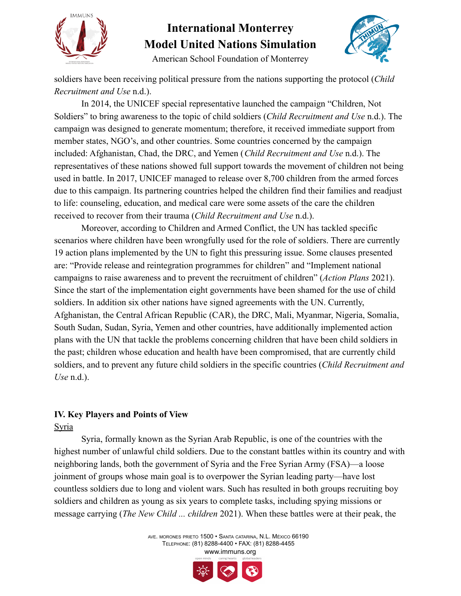



American School Foundation of Monterrey

soldiers have been receiving political pressure from the nations supporting the protocol (*Child Recruitment and Use* n.d.).

In 2014, the UNICEF special representative launched the campaign "Children, Not Soldiers" to bring awareness to the topic of child soldiers (*Child Recruitment and Use* n.d.). The campaign was designed to generate momentum; therefore, it received immediate support from member states, NGO's, and other countries. Some countries concerned by the campaign included: Afghanistan, Chad, the DRC, and Yemen (*Child Recruitment and Use* n.d.). The representatives of these nations showed full support towards the movement of children not being used in battle. In 2017, UNICEF managed to release over 8,700 children from the armed forces due to this campaign. Its partnering countries helped the children find their families and readjust to life: counseling, education, and medical care were some assets of the care the children received to recover from their trauma (*Child Recruitment and Use* n.d.).

Moreover, according to Children and Armed Conflict, the UN has tackled specific scenarios where children have been wrongfully used for the role of soldiers. There are currently 19 action plans implemented by the UN to fight this pressuring issue. Some clauses presented are: "Provide release and reintegration programmes for children" and "Implement national campaigns to raise awareness and to prevent the recruitment of children" (*Action Plans* 2021). Since the start of the implementation eight governments have been shamed for the use of child soldiers. In addition six other nations have signed agreements with the UN. Currently, Afghanistan, the Central African Republic (CAR), the DRC, Mali, Myanmar, Nigeria, Somalia, South Sudan, Sudan, Syria, Yemen and other countries, have additionally implemented action plans with the UN that tackle the problems concerning children that have been child soldiers in the past; children whose education and health have been compromised, that are currently child soldiers, and to prevent any future child soldiers in the specific countries (*Child Recruitment and Use* n.d.).

## **IV. Key Players and Points of View**

### Syria

Syria, formally known as the Syrian Arab Republic, is one of the countries with the highest number of unlawful child soldiers. Due to the constant battles within its country and with neighboring lands, both the government of Syria and the Free Syrian Army (FSA)—a loose joinment of groups whose main goal is to overpower the Syrian leading party—have lost countless soldiers due to long and violent wars. Such has resulted in both groups recruiting boy soldiers and children as young as six years to complete tasks, including spying missions or message carrying (*The New Child ... children* 2021). When these battles were at their peak, the

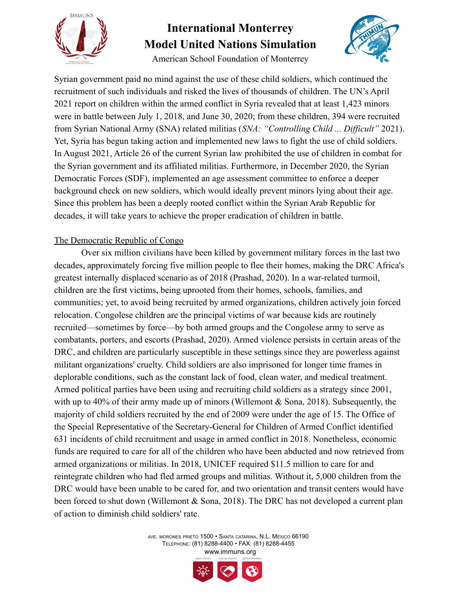



American School Foundation of Monterrey

Syrian government paid no mind against the use of these child soldiers, which continued the recruitment of such individuals and risked the lives of thousands of children. The UN's April 2021 report on children within the armed conflict in Syria revealed that at least 1,423 minors were in battle between July 1, 2018, and June 30, 2020; from these children, 394 were recruited from Syrian National Army (SNA) related militias (*SNA: "Controlling Child ... Difficult"* 2021). Yet, Syria has begun taking action and implemented new laws to fight the use of child soldiers. In August 2021, Article 26 of the current Syrian law prohibited the use of children in combat for the Syrian government and its affiliated militias. Furthermore, in December 2020, the Syrian Democratic Forces (SDF), implemented an age assessment committee to enforce a deeper background check on new soldiers, which would ideally prevent minors lying about their age. Since this problem has been a deeply rooted conflict within the Syrian Arab Republic for decades, it will take years to achieve the proper eradication of children in battle.

### The Democratic Republic of Congo

Over six million civilians have been killed by government military forces in the last two decades, approximately forcing five million people to flee their homes, making the DRC Africa's greatest internally displaced scenario as of 2018 (Prashad, 2020). In a war-related turmoil, children are the first victims, being uprooted from their homes, schools, families, and communities; yet, to avoid being recruited by armed organizations, children actively join forced relocation. Congolese children are the principal victims of war because kids are routinely recruited—sometimes by force—by both armed groups and the Congolese army to serve as combatants, porters, and escorts (Prashad, 2020). Armed violence persists in certain areas of the DRC, and children are particularly susceptible in these settings since they are powerless against militant organizations' cruelty. Child soldiers are also imprisoned for longer time frames in deplorable conditions, such as the constant lack of food, clean water, and medical treatment. Armed political parties have been using and recruiting child soldiers as a strategy since 2001, with up to 40% of their army made up of minors (Willemont  $\&$  Sona, 2018). Subsequently, the majority of child soldiers recruited by the end of 2009 were under the age of 15. The Office of the Special Representative of the Secretary-General for Children of Armed Conflict identified 631 incidents of child recruitment and usage in armed conflict in 2018. Nonetheless, economic funds are required to care for all of the children who have been abducted and now retrieved from armed organizations or militias. In 2018, UNICEF required \$11.5 million to care for and reintegrate children who had fled armed groups and militias. Without it, 5,000 children from the DRC would have been unable to be cared for, and two orientation and transit centers would have been forced to shut down (Willemont & Sona, 2018). The DRC has not developed a current plan of action to diminish child soldiers' rate.

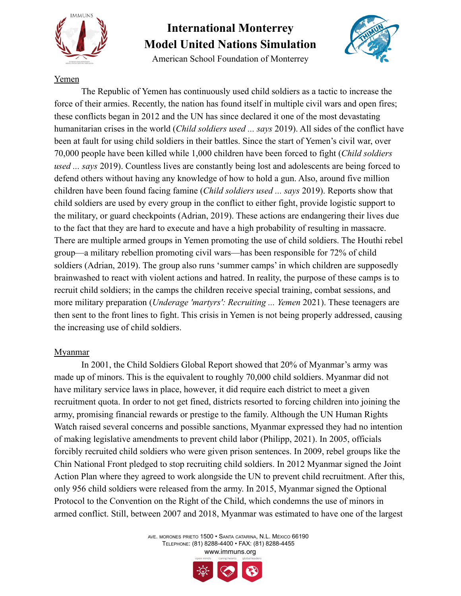

American School Foundation of Monterrey



### Yemen

The Republic of Yemen has continuously used child soldiers as a tactic to increase the force of their armies. Recently, the nation has found itself in multiple civil wars and open fires; these conflicts began in 2012 and the UN has since declared it one of the most devastating humanitarian crises in the world (*Child soldiers used ... says* 2019). All sides of the conflict have been at fault for using child soldiers in their battles. Since the start of Yemen's civil war, over 70,000 people have been killed while 1,000 children have been forced to fight (*Child soldiers used ... says* 2019). Countless lives are constantly being lost and adolescents are being forced to defend others without having any knowledge of how to hold a gun. Also, around five million children have been found facing famine (*Child soldiers used ... says* 2019). Reports show that child soldiers are used by every group in the conflict to either fight, provide logistic support to the military, or guard checkpoints (Adrian, 2019). These actions are endangering their lives due to the fact that they are hard to execute and have a high probability of resulting in massacre. There are multiple armed groups in Yemen promoting the use of child soldiers. The Houthi rebel group—a military rebellion promoting civil wars—has been responsible for 72% of child soldiers (Adrian, 2019). The group also runs 'summer camps' in which children are supposedly brainwashed to react with violent actions and hatred. In reality, the purpose of these camps is to recruit child soldiers; in the camps the children receive special training, combat sessions, and more military preparation (*Underage 'martyrs': Recruiting ... Yemen* 2021). These teenagers are then sent to the front lines to fight. This crisis in Yemen is not being properly addressed, causing the increasing use of child soldiers.

### Myanmar

In 2001, the Child Soldiers Global Report showed that 20% of Myanmar's army was made up of minors. This is the equivalent to roughly 70,000 child soldiers. Myanmar did not have military service laws in place, however, it did require each district to meet a given recruitment quota. In order to not get fined, districts resorted to forcing children into joining the army, promising financial rewards or prestige to the family. Although the UN Human Rights Watch raised several concerns and possible sanctions, Myanmar expressed they had no intention of making legislative amendments to prevent child labor (Philipp, 2021). In 2005, officials forcibly recruited child soldiers who were given prison sentences. In 2009, rebel groups like the Chin National Front pledged to stop recruiting child soldiers. In 2012 Myanmar signed the Joint Action Plan where they agreed to work alongside the UN to prevent child recruitment. After this, only 956 child soldiers were released from the army. In 2015, Myanmar signed the Optional Protocol to the Convention on the Right of the Child, which condemns the use of minors in armed conflict. Still, between 2007 and 2018, Myanmar was estimated to have one of the largest

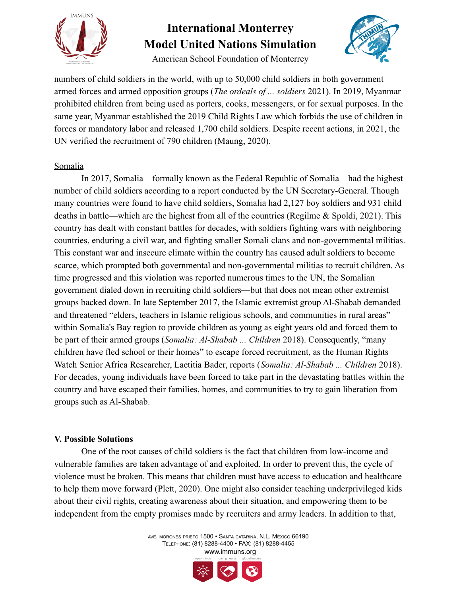



American School Foundation of Monterrey

numbers of child soldiers in the world, with up to 50,000 child soldiers in both government armed forces and armed opposition groups (*The ordeals of ... soldiers* 2021). In 2019, Myanmar prohibited children from being used as porters, cooks, messengers, or for sexual purposes. In the same year, Myanmar established the 2019 Child Rights Law which forbids the use of children in forces or mandatory labor and released 1,700 child soldiers. Despite recent actions, in 2021, the UN verified the recruitment of 790 children (Maung, 2020).

#### Somalia

In 2017, Somalia—formally known as the Federal Republic of Somalia—had the highest number of child soldiers according to a report conducted by the UN Secretary-General. Though many countries were found to have child soldiers, Somalia had 2,127 boy soldiers and 931 child deaths in battle—which are the highest from all of the countries (Regilme & Spoldi, 2021). This country has dealt with constant battles for decades, with soldiers fighting wars with neighboring countries, enduring a civil war, and fighting smaller Somali clans and non-governmental militias. This constant war and insecure climate within the country has caused adult soldiers to become scarce, which prompted both governmental and non-governmental militias to recruit children. As time progressed and this violation was reported numerous times to the UN, the Somalian government dialed down in recruiting child soldiers—but that does not mean other extremist groups backed down. In late September 2017, the Islamic extremist group Al-Shabab demanded and threatened "elders, teachers in Islamic religious schools, and communities in rural areas" within Somalia's Bay region to provide children as young as eight years old and forced them to be part of their armed groups (*Somalia: Al-Shabab ... Children* 2018). Consequently, "many children have fled school or their homes" to escape forced recruitment, as the Human Rights Watch Senior Africa Researcher, Laetitia Bader, reports (*Somalia: Al-Shabab ... Children* 2018). For decades, young individuals have been forced to take part in the devastating battles within the country and have escaped their families, homes, and communities to try to gain liberation from groups such as Al-Shabab.

#### **V. Possible Solutions**

One of the root causes of child soldiers is the fact that children from low-income and vulnerable families are taken advantage of and exploited. In order to prevent this, the cycle of violence must be broken. This means that children must have access to education and healthcare to help them move forward (Plett, 2020). One might also consider teaching underprivileged kids about their civil rights, creating awareness about their situation, and empowering them to be independent from the empty promises made by recruiters and army leaders. In addition to that,

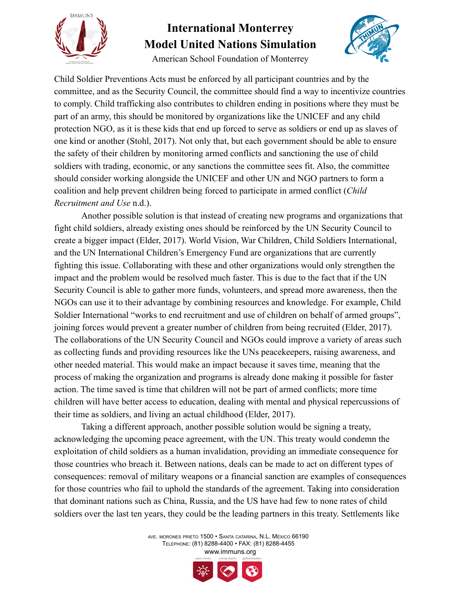



American School Foundation of Monterrey

Child Soldier Preventions Acts must be enforced by all participant countries and by the committee, and as the Security Council, the committee should find a way to incentivize countries to comply. Child trafficking also contributes to children ending in positions where they must be part of an army, this should be monitored by organizations like the UNICEF and any child protection NGO, as it is these kids that end up forced to serve as soldiers or end up as slaves of one kind or another (Stohl, 2017). Not only that, but each government should be able to ensure the safety of their children by monitoring armed conflicts and sanctioning the use of child soldiers with trading, economic, or any sanctions the committee sees fit. Also, the committee should consider working alongside the UNICEF and other UN and NGO partners to form a coalition and help prevent children being forced to participate in armed conflict (*Child Recruitment and Use* n.d.).

Another possible solution is that instead of creating new programs and organizations that fight child soldiers, already existing ones should be reinforced by the UN Security Council to create a bigger impact (Elder, 2017). World Vision, War Children, Child Soldiers International, and the UN International Children's Emergency Fund are organizations that are currently fighting this issue. Collaborating with these and other organizations would only strengthen the impact and the problem would be resolved much faster. This is due to the fact that if the UN Security Council is able to gather more funds, volunteers, and spread more awareness, then the NGOs can use it to their advantage by combining resources and knowledge. For example, Child Soldier International "works to end recruitment and use of children on behalf of armed groups", joining forces would prevent a greater number of children from being recruited (Elder, 2017). The collaborations of the UN Security Council and NGOs could improve a variety of areas such as collecting funds and providing resources like the UNs peacekeepers, raising awareness, and other needed material. This would make an impact because it saves time, meaning that the process of making the organization and programs is already done making it possible for faster action. The time saved is time that children will not be part of armed conflicts; more time children will have better access to education, dealing with mental and physical repercussions of their time as soldiers, and living an actual childhood (Elder, 2017).

Taking a different approach, another possible solution would be signing a treaty, acknowledging the upcoming peace agreement, with the UN. This treaty would condemn the exploitation of child soldiers as a human invalidation, providing an immediate consequence for those countries who breach it. Between nations, deals can be made to act on different types of consequences: removal of military weapons or a financial sanction are examples of consequences for those countries who fail to uphold the standards of the agreement. Taking into consideration that dominant nations such as China, Russia, and the US have had few to none rates of child soldiers over the last ten years, they could be the leading partners in this treaty. Settlements like

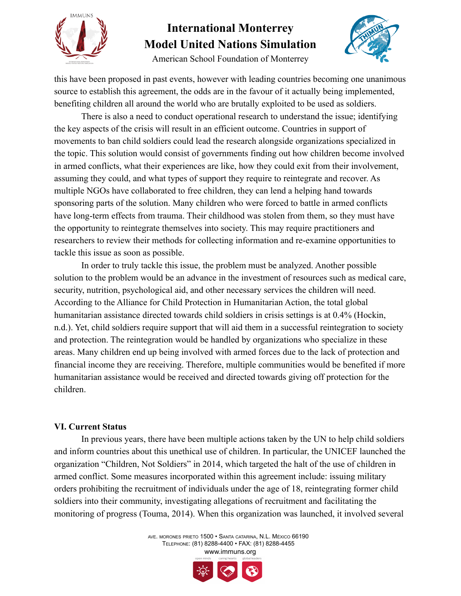



American School Foundation of Monterrey

this have been proposed in past events, however with leading countries becoming one unanimous source to establish this agreement, the odds are in the favour of it actually being implemented, benefiting children all around the world who are brutally exploited to be used as soldiers.

There is also a need to conduct operational research to understand the issue; identifying the key aspects of the crisis will result in an efficient outcome. Countries in support of movements to ban child soldiers could lead the research alongside organizations specialized in the topic. This solution would consist of governments finding out how children become involved in armed conflicts, what their experiences are like, how they could exit from their involvement, assuming they could, and what types of support they require to reintegrate and recover. As multiple NGOs have collaborated to free children, they can lend a helping hand towards sponsoring parts of the solution. Many children who were forced to battle in armed conflicts have long-term effects from trauma. Their childhood was stolen from them, so they must have the opportunity to reintegrate themselves into society. This may require practitioners and researchers to review their methods for collecting information and re-examine opportunities to tackle this issue as soon as possible.

In order to truly tackle this issue, the problem must be analyzed. Another possible solution to the problem would be an advance in the investment of resources such as medical care, security, nutrition, psychological aid, and other necessary services the children will need. According to the Alliance for Child Protection in Humanitarian Action, the total global humanitarian assistance directed towards child soldiers in crisis settings is at 0.4% (Hockin, n.d.). Yet, child soldiers require support that will aid them in a successful reintegration to society and protection. The reintegration would be handled by organizations who specialize in these areas. Many children end up being involved with armed forces due to the lack of protection and financial income they are receiving. Therefore, multiple communities would be benefited if more humanitarian assistance would be received and directed towards giving off protection for the children.

### **VI. Current Status**

In previous years, there have been multiple actions taken by the UN to help child soldiers and inform countries about this unethical use of children. In particular, the UNICEF launched the organization "Children, Not Soldiers" in 2014, which targeted the halt of the use of children in armed conflict. Some measures incorporated within this agreement include: issuing military orders prohibiting the recruitment of individuals under the age of 18, reintegrating former child soldiers into their community, investigating allegations of recruitment and facilitating the monitoring of progress (Touma, 2014). When this organization was launched, it involved several

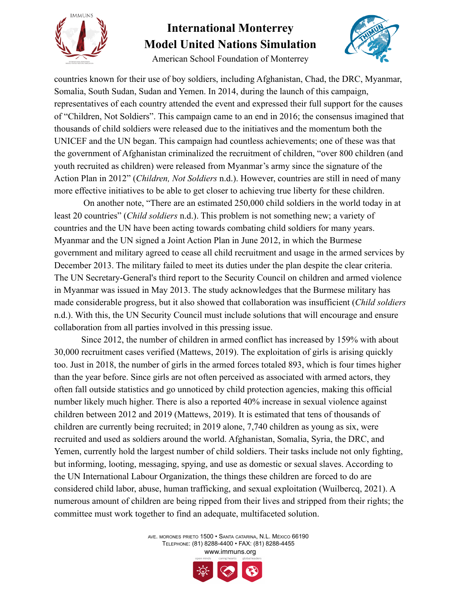



American School Foundation of Monterrey

countries known for their use of boy soldiers, including Afghanistan, Chad, the DRC, Myanmar, Somalia, South Sudan, Sudan and Yemen. In 2014, during the launch of this campaign, representatives of each country attended the event and expressed their full support for the causes of "Children, Not Soldiers". This campaign came to an end in 2016; the consensus imagined that thousands of child soldiers were released due to the initiatives and the momentum both the UNICEF and the UN began. This campaign had countless achievements; one of these was that the government of Afghanistan criminalized the recruitment of children, "over 800 children (and youth recruited as children) were released from Myanmar's army since the signature of the Action Plan in 2012" (*Children, Not Soldiers* n.d.). However, countries are still in need of many more effective initiatives to be able to get closer to achieving true liberty for these children.

On another note, "There are an estimated 250,000 child soldiers in the world today in at least 20 countries" (*Child soldiers* n.d.). This problem is not something new; a variety of countries and the UN have been acting towards combating child soldiers for many years. Myanmar and the UN signed a Joint Action Plan in June 2012, in which the Burmese government and military agreed to cease all child recruitment and usage in the armed services by December 2013. The military failed to meet its duties under the plan despite the clear criteria. The UN Secretary-General's third report to the Security Council on children and armed violence in Myanmar was issued in May 2013. The study acknowledges that the Burmese military has made considerable progress, but it also showed that collaboration was insufficient (*Child soldiers* n.d.). With this, the UN Security Council must include solutions that will encourage and ensure collaboration from all parties involved in this pressing issue.

Since 2012, the number of children in armed conflict has increased by 159% with about 30,000 recruitment cases verified (Mattews, 2019). The exploitation of girls is arising quickly too. Just in 2018, the number of girls in the armed forces totaled 893, which is four times higher than the year before. Since girls are not often perceived as associated with armed actors, they often fall outside statistics and go unnoticed by child protection agencies, making this official number likely much higher. There is also a reported 40% increase in sexual violence against children between 2012 and 2019 (Mattews, 2019). It is estimated that tens of thousands of children are currently being recruited; in 2019 alone, 7,740 children as young as six, were recruited and used as soldiers around the world. Afghanistan, Somalia, Syria, the DRC, and Yemen, currently hold the largest number of child soldiers. Their tasks include not only fighting, but informing, looting, messaging, spying, and use as domestic or sexual slaves. According to the UN International Labour Organization, the things these children are forced to do are considered child labor, abuse, human trafficking, and sexual exploitation (Wuilbercq, 2021). A numerous amount of children are being ripped from their lives and stripped from their rights; the committee must work together to find an adequate, multifaceted solution.

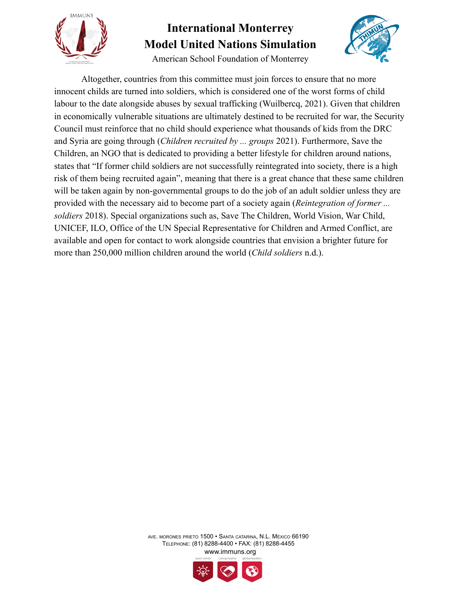



American School Foundation of Monterrey

Altogether, countries from this committee must join forces to ensure that no more innocent childs are turned into soldiers, which is considered one of the worst forms of child labour to the date alongside abuses by sexual trafficking (Wuilbercq, 2021). Given that children in economically vulnerable situations are ultimately destined to be recruited for war, the Security Council must reinforce that no child should experience what thousands of kids from the DRC and Syria are going through (*Children recruited by ... groups* 2021). Furthermore, Save the Children, an NGO that is dedicated to providing a better lifestyle for children around nations, states that "If former child soldiers are not successfully reintegrated into society, there is a high risk of them being recruited again", meaning that there is a great chance that these same children will be taken again by non-governmental groups to do the job of an adult soldier unless they are provided with the necessary aid to become part of a society again (*Reintegration of former ... soldiers* 2018). Special organizations such as, Save The Children, World Vision, War Child, UNICEF, ILO, Office of the UN Special Representative for Children and Armed Conflict, are available and open for contact to work alongside countries that envision a brighter future for more than 250,000 million children around the world (*Child soldiers* n.d.).

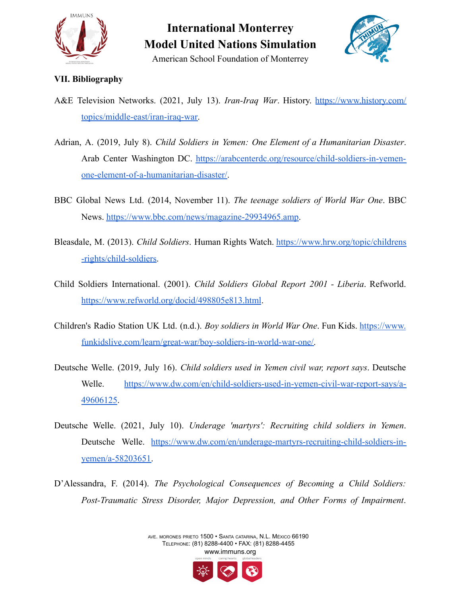



### **VII. Bibliography**

- A&E Television Networks. (2021, July 13). *Iran-Iraq War*. History. [https://www.history.com/](https://www.history.com/topics/middle-east/iran-iraq-war) [topics/middle-east/iran-iraq-war.](https://www.history.com/topics/middle-east/iran-iraq-war)
- Adrian, A. (2019, July 8). *Child Soldiers in Yemen: One Element of a Humanitarian Disaster*. Arab Center Washington DC. [https://arabcenterdc.org/resource/child-soldiers-in-yemen](https://arabcenterdc.org/resource/child-soldiers-in-yemen-one-element-of-a-humanitarian-disaster/)[one-element-of-a-humanitarian-disaster/.](https://arabcenterdc.org/resource/child-soldiers-in-yemen-one-element-of-a-humanitarian-disaster/)
- BBC Global News Ltd. (2014, November 11). *The teenage soldiers of World War One*. BBC News. [https://www.bbc.com/news/magazine-29934965.amp.](https://www.bbc.com/news/magazine-29934965.amp)
- Bleasdale, M. (2013). *Child Soldiers*. Human Rights Watch. [https://www.hrw.org/topic/childrens](https://www.hrw.org/topic/childrens-rights/child-soldiers) [-rights/child-soldiers.](https://www.hrw.org/topic/childrens-rights/child-soldiers)
- Child Soldiers International. (2001). *Child Soldiers Global Report 2001 - Liberia*. Refworld. <https://www.refworld.org/docid/498805e813.html>.
- Children's Radio Station UK Ltd. (n.d.). *Boy soldiers in World War One*. Fun Kids. [https://www.](https://www.funkidslive.com/learn/great-war/boy-soldiers-in-world-war-one/) [funkidslive.com/learn/great-war/boy-soldiers-in-world-war-one/.](https://www.funkidslive.com/learn/great-war/boy-soldiers-in-world-war-one/)
- Deutsche Welle. (2019, July 16). *Child soldiers used in Yemen civil war, report says*. Deutsche Welle. [https://www.dw.com/en/child-soldiers-used-in-yemen-civil-war-report-says/a-](https://www.dw.com/en/child-soldiers-used-in-yemen-civil-war-report-says/a-49606125)[49606125](https://www.dw.com/en/child-soldiers-used-in-yemen-civil-war-report-says/a-49606125).
- Deutsche Welle. (2021, July 10). *Underage 'martyrs': Recruiting child soldiers in Yemen*. Deutsche Welle. [https://www.dw.com/en/underage-martyrs-recruiting-child-soldiers-in](https://www.dw.com/en/underage-martyrs-recruiting-child-soldiers-in-yemen/a-58203651)[yemen/a-58203651.](https://www.dw.com/en/underage-martyrs-recruiting-child-soldiers-in-yemen/a-58203651)
- D'Alessandra, F. (2014). *The Psychological Consequences of Becoming a Child Soldiers: Post-Traumatic Stress Disorder, Major Depression, and Other Forms of Impairment*.

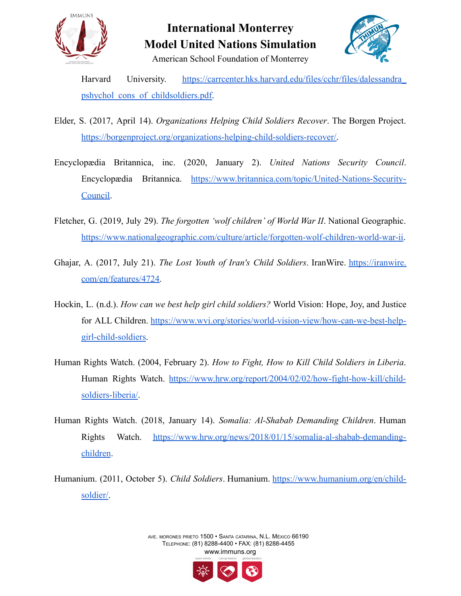



American School Foundation of Monterrey

Harvard University. [https://carrcenter.hks.harvard.edu/files/cchr/files/dalessandra\\_](https://carrcenter.hks.harvard.edu/files/cchr/files/dalessandra_pshychol_cons_of_childsoldiers.pdf) [pshychol\\_cons\\_of\\_childsoldiers.pdf.](https://carrcenter.hks.harvard.edu/files/cchr/files/dalessandra_pshychol_cons_of_childsoldiers.pdf)

- Elder, S. (2017, April 14). *Organizations Helping Child Soldiers Recover*. The Borgen Project. [https://borgenproject.org/organizations-helping-child-soldiers-recover/.](https://borgenproject.org/organizations-helping-child-soldiers-recover/)
- Encyclopædia Britannica, inc. (2020, January 2). *United Nations Security Council*. Encyclopædia Britannica. [https://www.britannica.com/topic/United-Nations-Security-](https://www.britannica.com/topic/United-Nations-Security-Council)[Council.](https://www.britannica.com/topic/United-Nations-Security-Council)
- Fletcher, G. (2019, July 29). *The forgotten 'wolf children' of World War II*. National Geographic. [https://www.nationalgeographic.com/culture/article/forgotten-wolf-children-world-war-ii.](https://www.nationalgeographic.com/culture/article/forgotten-wolf-children-world-war-ii)
- Ghajar, A. (2017, July 21). *The Lost Youth of Iran's Child Soldiers*. IranWire. [https://iranwire.](https://iranwire.com/en/features/4724) [com/en/features/4724.](https://iranwire.com/en/features/4724)
- Hockin, L. (n.d.). *How can we best help girl child soldiers?* World Vision: Hope, Joy, and Justice for ALL Children. [https://www.wvi.org/stories/world-vision-view/how-can-we-best-help](https://www.wvi.org/stories/world-vision-view/how-can-we-best-help-girl-child-soldiers)[girl-child-soldiers.](https://www.wvi.org/stories/world-vision-view/how-can-we-best-help-girl-child-soldiers)
- Human Rights Watch. (2004, February 2). *How to Fight, How to Kill Child Soldiers in Liberia*. Human Rights Watch. [https://www.hrw.org/report/2004/02/02/how-fight-how-kill/child](https://www.hrw.org/report/2004/02/02/how-fight-how-kill/child-soldiers-liberia/)[soldiers-liberia/](https://www.hrw.org/report/2004/02/02/how-fight-how-kill/child-soldiers-liberia/).
- Human Rights Watch. (2018, January 14). *Somalia: Al-Shabab Demanding Children*. Human Rights Watch. [https://www.hrw.org/news/2018/01/15/somalia-al-shabab-demanding](https://www.hrw.org/news/2018/01/15/somalia-al-shabab-demanding-children#)[children](https://www.hrw.org/news/2018/01/15/somalia-al-shabab-demanding-children#).
- Humanium. (2011, October 5). *Child Soldiers*. Humanium. [https://www.humanium.org/en/child](https://www.humanium.org/en/child-soldier/)[soldier/.](https://www.humanium.org/en/child-soldier/)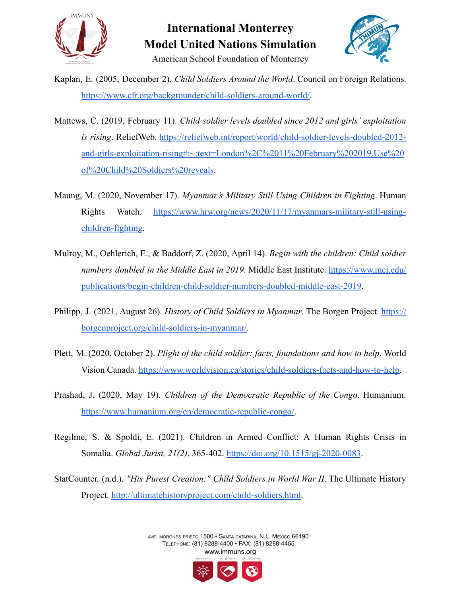



Kaplan, E. (2005, December 2). *Child Soldiers Around the World*. Council on Foreign Relations. [https://www.cfr.org/backgrounder/child-soldiers-around-world/.](https://www.cfr.org/backgrounder/child-soldiers-around-world/)

- Mattews, C. (2019, February 11). *Child soldier levels doubled since 2012 and girls' exploitation is rising*. ReliefWeb. [https://reliefweb.int/report/world/child-soldier-levels-doubled-2012](https://reliefweb.int/report/world/child-soldier-levels-doubled-2012-and-girls-exploitation-rising#:~:text=London%2C%2011%20February%202019,Use%20of%20Child%20Soldiers%20reveals) [and-girls-exploitation-rising#:~:text=London%2C%2011%20February%202019,Use%20](https://reliefweb.int/report/world/child-soldier-levels-doubled-2012-and-girls-exploitation-rising#:~:text=London%2C%2011%20February%202019,Use%20of%20Child%20Soldiers%20reveals) [of%20Child%20Soldiers%20reveals.](https://reliefweb.int/report/world/child-soldier-levels-doubled-2012-and-girls-exploitation-rising#:~:text=London%2C%2011%20February%202019,Use%20of%20Child%20Soldiers%20reveals)
- Maung, M. (2020, November 17). *Myanmar's Military Still Using Children in Fighting*. Human Rights Watch. [https://www.hrw.org/news/2020/11/17/myanmars-military-still-using](https://www.hrw.org/news/2020/11/17/myanmars-military-still-using-children-fighting)[children-fighting](https://www.hrw.org/news/2020/11/17/myanmars-military-still-using-children-fighting).
- Mulroy, M., Oehlerich, E., & Baddorf, Z. (2020, April 14). *Begin with the children: Child soldier numbers doubled in the Middle East in 2019*. Middle East Institute. [https://www.mei.edu/](https://www.mei.edu/publications/begin-children-child-soldier-numbers-doubled-middle-east-2019) [publications/begin-children-child-soldier-numbers-doubled-middle-east-2019](https://www.mei.edu/publications/begin-children-child-soldier-numbers-doubled-middle-east-2019).
- Philipp, J. (2021, August 26). *History of Child Soldiers in Myanmar*. The Borgen Project. [https://](https://borgenproject.org/child-soldiers-in-myanmar/) [borgenproject.org/child-soldiers-in-myanmar/.](https://borgenproject.org/child-soldiers-in-myanmar/)
- Plett, M. (2020, October 2). *Plight of the child soldier: facts, foundations and how to help*. World Vision Canada. [https://www.worldvision.ca/stories/child-soldiers-facts-and-how-to-help.](https://www.worldvision.ca/stories/child-soldiers-facts-and-how-to-help)
- Prashad, J. (2020, May 19). *Children of the Democratic Republic of the Congo*. Humanium. [https://www.humanium.org/en/democratic-republic-congo/.](https://www.humanium.org/en/democratic-republic-congo/)
- Regilme, S. & Spoldi, E. (2021). Children in Armed Conflict: A Human Rights Crisis in Somalia. *Global Jurist, 21(2)*, 365-402. <https://doi.org/10.1515/gj-2020-0083>.
- StatCounter. (n.d.). *"His Purest Creation:" Child Soldiers in World War II*. The Ultimate History Project. [http://ultimatehistoryproject.com/child-soldiers.html.](http://ultimatehistoryproject.com/child-soldiers.html)

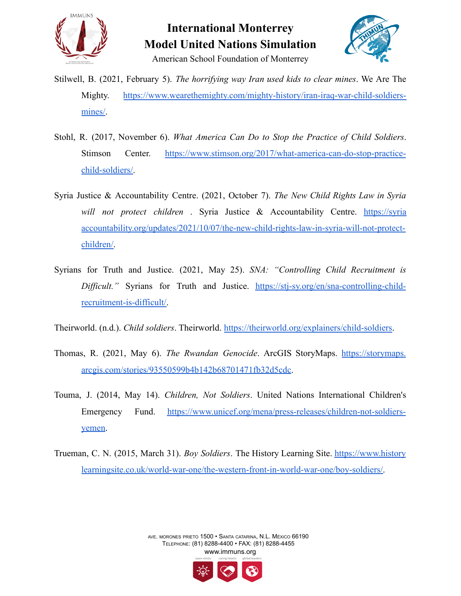



- Stilwell, B. (2021, February 5). *The horrifying way Iran used kids to clear mines*. We Are The Mighty. [https://www.wearethemighty.com/mighty-history/iran-iraq-war-child-soldiers](https://www.wearethemighty.com/mighty-history/iran-iraq-war-child-soldiers-mines/)[mines/.](https://www.wearethemighty.com/mighty-history/iran-iraq-war-child-soldiers-mines/)
- Stohl, R. (2017, November 6). *What America Can Do to Stop the Practice of Child Soldiers*. Stimson Center. [https://www.stimson.org/2017/what-america-can-do-stop-practice](https://www.stimson.org/2017/what-america-can-do-stop-practice-child-soldiers/)[child-soldiers/.](https://www.stimson.org/2017/what-america-can-do-stop-practice-child-soldiers/)
- Syria Justice & Accountability Centre. (2021, October 7). *The New Child Rights Law in Syria will not protect children* . Syria Justice & Accountability Centre. [https://syria](https://syriaaccountability.org/updates/2021/10/07/the-new-child-rights-law-in-syria-will-not-protect-children/) [accountability.org/updates/2021/10/07/the-new-child-rights-law-in-syria-will-not-protect](https://syriaaccountability.org/updates/2021/10/07/the-new-child-rights-law-in-syria-will-not-protect-children/)[children/.](https://syriaaccountability.org/updates/2021/10/07/the-new-child-rights-law-in-syria-will-not-protect-children/)
- Syrians for Truth and Justice. (2021, May 25). *SNA: "Controlling Child Recruitment is Difficult."* Syrians for Truth and Justice. [https://stj-sy.org/en/sna-controlling-child](https://stj-sy.org/en/sna-controlling-child-recruitment-is-difficult/)[recruitment-is-difficult/](https://stj-sy.org/en/sna-controlling-child-recruitment-is-difficult/).

Theirworld. (n.d.). *Child soldiers*. Theirworld. <https://theirworld.org/explainers/child-soldiers>.

- Thomas, R. (2021, May 6). *The Rwandan Genocide*. ArcGIS StoryMaps. [https://storymaps.](https://storymaps.arcgis.com/stories/93550599b4b142b68701471fb32d5cdc) [arcgis.com/stories/93550599b4b142b68701471fb32d5cdc.](https://storymaps.arcgis.com/stories/93550599b4b142b68701471fb32d5cdc)
- Touma, J. (2014, May 14). *Children, Not Soldiers*. United Nations International Children's Emergency Fund. [https://www.unicef.org/mena/press-releases/children-not-soldiers](https://www.unicef.org/mena/press-releases/children-not-soldiers-yemen)[yemen.](https://www.unicef.org/mena/press-releases/children-not-soldiers-yemen)
- Trueman, C. N. (2015, March 31). *Boy Soldiers*. The History Learning Site. [https://www.history](https://www.historylearningsite.co.uk/world-war-one/the-western-front-in-world-war-one/boy-soldiers/) [learningsite.co.uk/world-war-one/the-western-front-in-world-war-one/boy-soldiers/.](https://www.historylearningsite.co.uk/world-war-one/the-western-front-in-world-war-one/boy-soldiers/)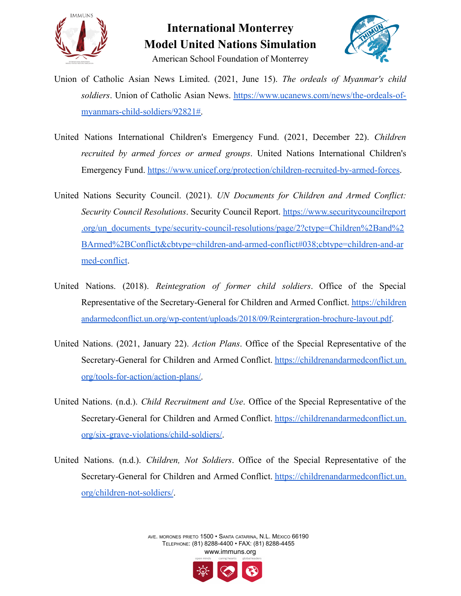



American School Foundation of Monterrey

- Union of Catholic Asian News Limited. (2021, June 15). *The ordeals of Myanmar's child soldiers*. Union of Catholic Asian News. [https://www.ucanews.com/news/the-ordeals-of](https://www.ucanews.com/news/the-ordeals-of-myanmars-child-soldiers/92821#)[myanmars-child-soldiers/92821#.](https://www.ucanews.com/news/the-ordeals-of-myanmars-child-soldiers/92821#)
- United Nations International Children's Emergency Fund. (2021, December 22). *Children recruited by armed forces or armed groups*. United Nations International Children's Emergency Fund. [https://www.unicef.org/protection/children-recruited-by-armed-forces.](https://www.unicef.org/protection/children-recruited-by-armed-forces)
- United Nations Security Council. (2021). *UN Documents for Children and Armed Conflict: Security Council Resolutions*. Security Council Report. [https://www.securitycouncilreport](https://www.securitycouncilreport.org/un_documents_type/security-council-resolutions/page/2?ctype=Children%2Band%2BArmed%2BConflict&cbtype=children-and-armed-conflict#038;cbtype=children-and-armed-conflict) [.org/un\\_documents\\_type/security-council-resolutions/page/2?ctype=Children%2Band%2](https://www.securitycouncilreport.org/un_documents_type/security-council-resolutions/page/2?ctype=Children%2Band%2BArmed%2BConflict&cbtype=children-and-armed-conflict#038;cbtype=children-and-armed-conflict) [BArmed%2BConflict&cbtype=children-and-armed-conflict#038;cbtype=children-and-ar](https://www.securitycouncilreport.org/un_documents_type/security-council-resolutions/page/2?ctype=Children%2Band%2BArmed%2BConflict&cbtype=children-and-armed-conflict#038;cbtype=children-and-armed-conflict) [med-conflict](https://www.securitycouncilreport.org/un_documents_type/security-council-resolutions/page/2?ctype=Children%2Band%2BArmed%2BConflict&cbtype=children-and-armed-conflict#038;cbtype=children-and-armed-conflict).
- United Nations. (2018). *Reintegration of former child soldiers*. Office of the Special Representative of the Secretary-General for Children and Armed Conflict. [https://children](https://childrenandarmedconflict.un.org/wp-content/uploads/2018/09/Reintergration-brochure-layout.pdf) [andarmedconflict.un.org/wp-content/uploads/2018/09/Reintergration-brochure-layout.pdf](https://childrenandarmedconflict.un.org/wp-content/uploads/2018/09/Reintergration-brochure-layout.pdf).
- United Nations. (2021, January 22). *Action Plans*. Office of the Special Representative of the Secretary-General for Children and Armed Conflict. [https://childrenandarmedconflict.un.](https://childrenandarmedconflict.un.org/tools-for-action/action-plans/) [org/tools-for-action/action-plans/.](https://childrenandarmedconflict.un.org/tools-for-action/action-plans/)
- United Nations. (n.d.). *Child Recruitment and Use*. Office of the Special Representative of the Secretary-General for Children and Armed Conflict. [https://childrenandarmedconflict.un.](https://childrenandarmedconflict.un.org/six-grave-violations/child-soldiers/) [org/six-grave-violations/child-soldiers/](https://childrenandarmedconflict.un.org/six-grave-violations/child-soldiers/).
- United Nations. (n.d.). *Children, Not Soldiers*. Office of the Special Representative of the Secretary-General for Children and Armed Conflict. [https://childrenandarmedconflict.un.](https://childrenandarmedconflict.un.org/children-not-soldiers/) [org/children-not-soldiers/](https://childrenandarmedconflict.un.org/children-not-soldiers/).